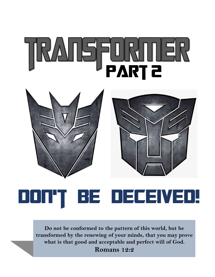# **Part 2**





## **Don't be deceived!**

**Do not be conformed to the pattern of this world, but be transformed by the renewing of your minds, that you may prove what is that good and acceptable and perfect will of God.** 

**Romans 12:2**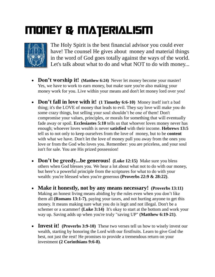### **Money & Materialism**



The Holy Spirit is the best financial advisor you could ever have! The counsel He gives about money and material things in the word of God goes totally against the ways of the world. Let's talk about what to do and what NOT to do with money...

- **Don't worship it! (Matthew 6:24)** Never let money become your master! Yes, we have to work to earn money, but make sure you're also making your money work for you. Live within your means and don't let money lord over you!
- **Don't fall in love with it! (1 Timothy 6:6-10)** Money itself isn't a bad thing; it's the LOVE of money that leads to evil. They say love will make you do some crazy things, but selling your soul shouldn't be one of them! Don't compromise your values, principles, or morals for something that will eventually fade away or spoil. **Ecclesiastes 5:10** tells us that whoever loves money never has enough; whoever loves wealth is never **satisfied** with their income. **Hebrews 13:5** tell us to not only to keep ourselves from the love of money, but to be **content**  with what we have. Don't let the love of money pull you away from the ones you love or from the God who loves you. Remember: you are priceless, and your soul isn't for sale. You are His prized possession!
- **Don't be greedy...be generous! (Luke 12:15)** Make sure you bless others when God blesses you. We hear a lot about what not to do with our money, but here**'**s a powerful principle from the scriptures for what to do with your wealth: you're blessed when you're generous **(Proverbs 22:9 & 28:22)**.
- **Make it honestly, not by any means necessary! (Proverbs 13:11)** Making an honest living means abiding by the rules even when you don't like them all **(Romans 13:1-7)**, paying your taxes, and not hurting anyone to get this money. It means making sure what you do is legit and not illegal. Don't be a schemer or a scammer! **(Luke 3:14)** It's okay to start at the bottom and work your way up. Saving adds up when you're truly "saving UP" **(Matthew 6:19-21)**.
- **Invest it! (Proverbs 3:9-10)** These two verses tell us how to wisely invest our wealth, starting by honoring the Lord with our firstfruits. Learn to give God the best, not just the rest! He promises to provide a tremendous return on your investment **(2 Corinthians 9:6-8)**.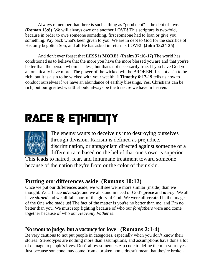Always remember that there is such a thing as "good debt"—the debt of love. **(Roman 13:8)** We will always owe one another LOVE! This scripture is two-fold, because in order to owe someone something, first someone had to loan or give you something. Pay back what's been given to you. We are in debt to God for the sacrifice of His only begotten Son, and all He has asked in return is LOVE! **(John 13:34-35)**

And don't ever forget that **LESS is MORE! (Psalm 37:16-17)** The world has conditioned us to believe that the more you have the more blessed you are and that you're better than the person whom has less, but that's not necessarily true. If you have God you automatically have more! The power of the wicked will be BROKEN! It's not a sin to be rich, but it is a sin to be wicked with your wealth. **1 Timothy 6:17-19** tells us how to conduct ourselves if we have an abundance of earthly blessings. Yes, Christians can be rich, but our greatest wealth should always be the treasure we have in heaven.

## **Race & Ethnicity**



The enemy wants to deceive us into destroying ourselves through division. Racism is defined as prejudice, discrimination, or antagonism directed against someone of a different race based on the belief that one's own is superior.

This leads to hatred, fear, and inhumane treatment toward someone because of the nation they're from or the color of their skin.

#### **Putting our differences aside (Romans 10:12)**

Once we put our differences aside, we will see we're more similar (inside) than we thought. We all face *adversity*, and we all stand in need of God's *grace* and *mercy*! We all have *sinned* and we all fall short of the glory of God! We were all **created** in the image of the One who made us! The fact of the matter is you're no better than me, and I'm no better than you. We must stop fighting because of who our *forefathers* were and come together because of who our *Heavenly Father* is!

#### **No room to judge, but a vacancy for love (Romans 2:1-4)**

Be very cautious to not put people in categories, especially when you don't know their stories! Stereotypes are nothing more than assumptions, and assumptions have done a lot of damage to people's lives. Don't allow someone's zip code to define them in your eyes. Just because someone may come from a broken home doesn't mean that they're broken.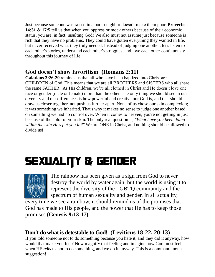Just because someone was raised in a poor neighbor doesn't make them poor. **Proverbs 14:31 & 17:5** tell us that when you oppress or mock others because of their economic status, you are, in fact, insulting God! We also must not assume just because someone is rich that they have no problems. They could have gotten everything they wanted in life, but never received what they truly needed. Instead of judging one another, let's listen to each other's stories, understand each other's struggles, and love each other continuously throughout this journey of life!

#### **God doesn't show favoritism (Romans 2:11)**

**Galatians 3:26-29** reminds us that all who have been baptized into Christ are CHILDREN of God. This means that we are all BROTHERS and SISTERS who all share the same FATHER. As His children, we're all clothed in Christ and He doesn't love one race or gender (male or female) more than the other. The only thing we should see in our diversity and our differences is how powerful and creative our God is, and that should draw us closer together, not push us further apart. None of us chose our skin complexion; it was something we inherited. That's why it makes no sense to judge one another based on something we had no control over. When it comes to heaven, you're not getting in just because of the color of your skin. The only real question is, *"What have you been doing within the skin He's put you in?"* We are ONE in Christ, and nothing should be allowed to divide us!

## **Sexuality & Gender**



The rainbow has been given as a sign from God to never destroy the world by water again, but the world is using it to represent the diversity of the LGBTQ community and the spectrum of human sexuality and gender. In all actuality,

every time we see a rainbow, it should remind us of the promises that God has made to His people, and the power that He has to keep those promises **(Genesis 9:13-17)**.

#### **Don't do what is detestable to God! (Leviticus 18:22, 20:13)**

If you told someone not to do something because you hate it, and they did it anyway, how would that make you feel? Now magnify that feeling and imagine how God must feel when HE *tells* us not to do something, and we do it anyway. This is a command, not a suggestion!